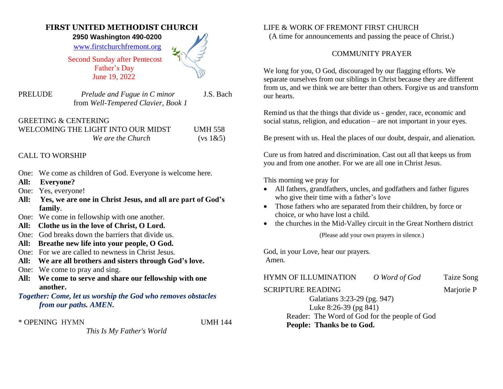## **FIRST UNITED METHODIST CHURCH**

 **2950 Washington 490-0200** 

[www.firstchurchfremont.org](http://www.firstchurchfremont.org/)

 Second Sunday after Pentecost Father's Day June 19, 2022

PRELUDE *Prelude and Fugue in C minor* J.S. Bach from *Well-Tempered Clavier, Book 1*

| <b>GREETING &amp; CENTERING</b>    |                |
|------------------------------------|----------------|
| WELCOMING THE LIGHT INTO OUR MIDST | <b>UMH 558</b> |
| We are the Church                  | (vs 1&65)      |

## CALL TO WORSHIP

- One: We come as children of God. Everyone is welcome here.
- **All: Everyone?**
- One: Yes, everyone!
- **All: Yes, we are one in Christ Jesus, and all are part of God's family**.
- One: We come in fellowship with one another.
- **All: Clothe us in the love of Christ, O Lord.**
- One: God breaks down the barriers that divide us.
- **All: Breathe new life into your people, O God.**
- One: For we are called to newness in Christ Jesus.
- **All: We are all brothers and sisters through God's love.**
- One: We come to pray and sing.
- **All: We come to serve and share our fellowship with one another.**
- *Together: Come, let us worship the God who removes obstacles from our paths. AMEN.*

\* OPENING HYMN UMH 144

*This Is My Father's World*

LIFE & WORK OF FREMONT FIRST CHURCH

(A time for announcements and passing the peace of Christ.)

## COMMUNITY PRAYER

We long for you, O God, discouraged by our flagging efforts. We separate ourselves from our siblings in Christ because they are different from us, and we think we are better than others. Forgive us and transform our hearts.

Remind us that the things that divide us - gender, race, economic and social status, religion, and education – are not important in your eyes.

Be present with us. Heal the places of our doubt, despair, and alienation.

Cure us from hatred and discrimination. Cast out all that keeps us from you and from one another. For we are all one in Christ Jesus.

This morning we pray for

- All fathers, grandfathers, uncles, and godfathers and father figures who give their time with a father's love
- Those fathers who are separated from their children, by force or choice, or who have lost a child.
- the churches in the Mid-Valley circuit in the Great Northern district

(Please add your own prayers in silence.)

God, in your Love, hear our prayers. Amen.

HYMN OF ILLUMINATION*O Word of God* Taize Song

SCRIPTURE READING Marjorie P

Galatians 3:23-29 (pg. 947) Luke 8:26-39 (pg 841) Reader: The Word of God for the people of God **People: Thanks be to God.**